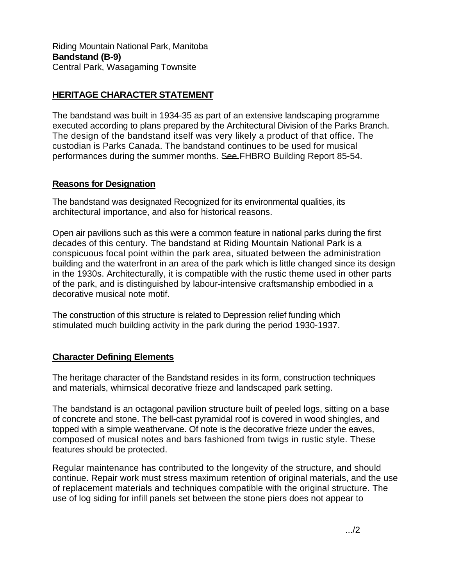Riding Mountain National Park, Manitoba **Bandstand (B-9)**  Central Park, Wasagaming Townsite

## **HERITAGE CHARACTER STATEMENT**

The bandstand was built in 1934-35 as part of an extensive landscaping programme executed according to plans prepared by the Architectural Division of the Parks Branch. The design of the bandstand itself was very likely a product of that office. The custodian is Parks Canada. The bandstand continues to be used for musical performances during the summer months. See FHBRO Building Report 85-54.

## **Reasons for Designation**

The bandstand was designated Recognized for its environmental qualities, its architectural importance, and also for historical reasons.

Open air pavilions such as this were a common feature in national parks during the first decades of this century. The bandstand at Riding Mountain National Park is a conspicuous focal point within the park area, situated between the administration building and the waterfront in an area of the park which is little changed since its design in the 1930s. Architecturally, it is compatible with the rustic theme used in other parts of the park, and is distinguished by labour-intensive craftsmanship embodied in a decorative musical note motif.

The construction of this structure is related to Depression relief funding which stimulated much building activity in the park during the period 1930-1937.

## **Character Defining Elements**

The heritage character of the Bandstand resides in its form, construction techniques and materials, whimsical decorative frieze and landscaped park setting.

The bandstand is an octagonal pavilion structure built of peeled logs, sitting on a base of concrete and stone. The bell-cast pyramidal roof is covered in wood shingles, and topped with a simple weathervane. Of note is the decorative frieze under the eaves, composed of musical notes and bars fashioned from twigs in rustic style. These features should be protected.

Regular maintenance has contributed to the longevity of the structure, and should continue. Repair work must stress maximum retention of original materials, and the use of replacement materials and techniques compatible with the original structure. The use of log siding for infill panels set between the stone piers does not appear to